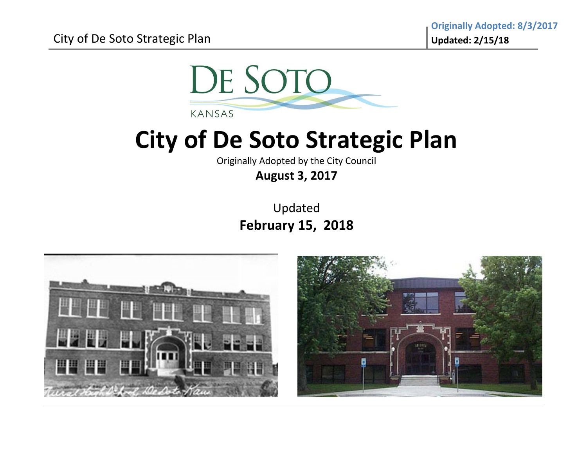

Originally Adopted by the City Council

**August 3, 2017**

Updated **February 15, 2018**



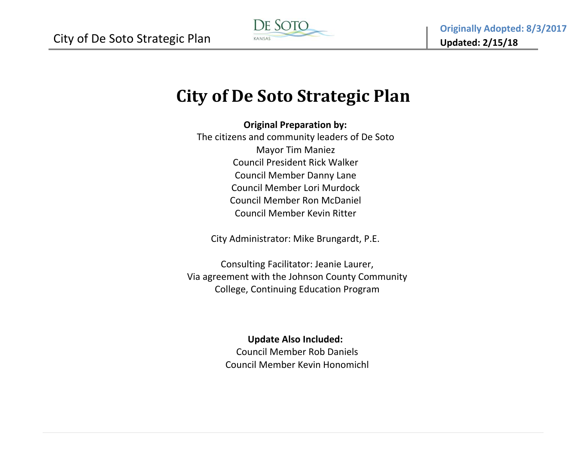

**Original Preparation by:**

The citizens and community leaders of De Soto Mayor Tim Maniez Council President Rick Walker Council Member Danny Lane Council Member Lori MurdockCouncil Member Ron McDaniel Council Member Kevin Ritter

City Administrator: Mike Brungardt, P.E.

Consulting Facilitator: Jeanie Laurer, Via agreement with the Johnson County Community College, Continuing Education Program

### **Update Also Included:**

Council Member Rob Daniels Council Member Kevin Honomichl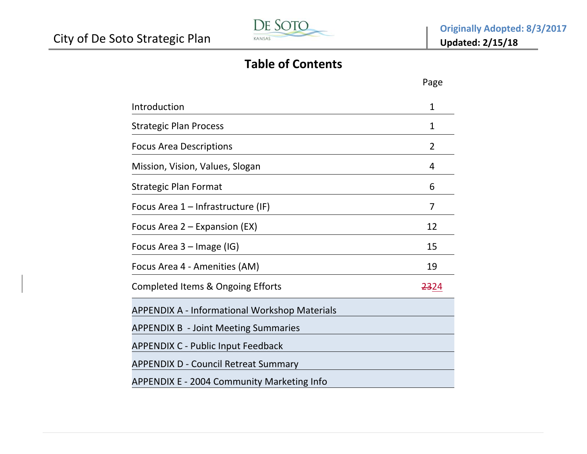

# **Table of Contents**

|                                                      | Page             |
|------------------------------------------------------|------------------|
| Introduction                                         | 1                |
| <b>Strategic Plan Process</b>                        | 1                |
| <b>Focus Area Descriptions</b>                       | 2                |
| Mission, Vision, Values, Slogan                      | 4                |
| <b>Strategic Plan Format</b>                         | 6                |
| Focus Area 1 – Infrastructure (IF)                   | 7                |
| Focus Area 2 – Expansion (EX)                        | 12               |
| Focus Area 3 - Image (IG)                            | 15               |
| Focus Area 4 - Amenities (AM)                        | 19               |
| Completed Items & Ongoing Efforts                    | <del>23</del> 24 |
| <b>APPENDIX A - Informational Workshop Materials</b> |                  |
| <b>APPENDIX B - Joint Meeting Summaries</b>          |                  |
| <b>APPENDIX C - Public Input Feedback</b>            |                  |
| <b>APPENDIX D - Council Retreat Summary</b>          |                  |
| APPENDIX E - 2004 Community Marketing Info           |                  |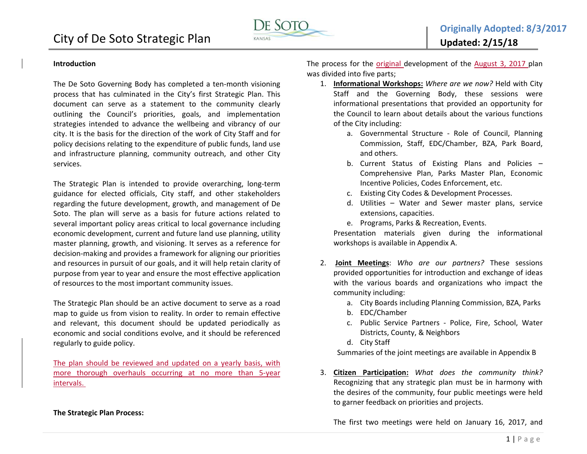



#### **Introduction**

The De Soto Governing Body has completed <sup>a</sup> ten‐month visioning process that has culminated in the City's first Strategic Plan. This document can serve as a statement to the community clearly outlining the Council's priorities, goals, and implementation strategies intended to advance the wellbeing and vibrancy of our city. It is the basis for the direction of the work of City Staff and for policy decisions relating to the expenditure of public funds, land use and infrastructure planning, community outreach, and other City services.

The Strategic Plan is intended to provide overarching, long‐term guidance for elected officials, City staff, and other stakeholders regarding the future development, growth, and management of De Soto. The plan will serve as <sup>a</sup> basis for future actions related to several important policy areas critical to local governance including economic development, current and future land use planning, utility master planning, growth, and visioning. It serves as <sup>a</sup> reference for decision‐making and provides <sup>a</sup> framework for aligning our priorities and resources in pursuit of our goals, and it will help retain clarity of purpose from year to year and ensure the most effective application of resources to the most important community issues.

The Strategic Plan should be an active document to serve as <sup>a</sup> road map to guide us from vision to reality. In order to remain effective and relevant, this document should be updated periodically as economic and social conditions evolve, and it should be referenced regularly to guide policy.

The plan should be reviewed and updated on <sup>a</sup> yearly basis, with more thorough overhauls occurring at no more than 5‐year intervals.

#### **The Strategic Plan Process:**

The process for the <u>original d</u>evelopment of the <u>August 3, 2017 p</u>lan was divided into five parts;

- 1. **Informational Workshops:** *Where are we now?* Held with City Staff and the Governing Body, these sessions were informational presentations that provided an opportunity for the Council to learn about details about the various functions of the City including:
	- a. Governmental Structure ‐ Role of Council, Planning Commission, Staff, EDC/Chamber, BZA, Park Board, and others.
	- b. Current Status of Existing Plans and Policies Comprehensive Plan, Parks Master Plan, Economic Incentive Policies, Codes Enforcement, etc.
	- c. Existing City Codes & Development Processes.
	- d. Utilities Water and Sewer master plans, service extensions, capacities.
	- e. Programs, Parks & Recreation, Events.

Presentation materials given during the informational workshops is available in Appendix A.

- 2. **Joint Meetings**: *Who are our partners?* These sessions provided opportunities for introduction and exchange of ideas with the various boards and organizations who impact the community including:
	- a. City Boards including Planning Commission, BZA, Parks
	- b. EDC/Chamber
	- c. Public Service Partners ‐ Police, Fire, School, Water Districts, County, & Neighbors
	- d. City Staff

Summaries of the joint meetings are available in Appendix B

3. **Citizen Participation:** *What does the community think?* Recognizing that any strategic plan must be in harmony with the desires of the community, four public meetings were held to garner feedback on priorities and projects.

The first two meetings were held on January 16, 2017, and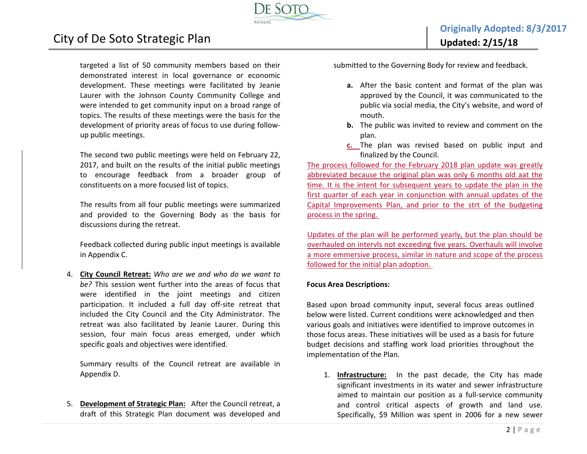

**Originally Adopted: 8/3/2017 Updated: 2/15/18**

targeted <sup>a</sup> list of 50 community members based on their demonstrated interest in local governance or economic development. These meetings were facilitated by Jeanie Laurer with the Johnson County Community College and were intended to get community input on <sup>a</sup> broad range of topics. The results of these meetings were the basis for the development of priority areas of focus to use during follow‐ up public meetings.

The second two public meetings were held on February 22, 2017, and built on the results of the initial public meetings to encourage feedback from <sup>a</sup> broader group of constituents on <sup>a</sup> more focused list of topics.

The results from all four public meetings were summarized and provided to the Governing Body as the basis for discussions during the retreat.

Feedback collected during public input meetings is available in Appendix C.

4. **City Council Retreat:** *Who are we and who do we want to be?* This session went further into the areas of focus that were identified in the joint meetings and citizen participation. It included a full day off-site retreat that included the City Council and the City Administrator. The retreat was also facilitated by Jeanie Laurer. During this session, four main focus areas emerged, under which specific goals and objectives were identified.

Summary results of the Council retreat are available in Appendix D.

5. **Development of Strategic Plan:** After the Council retreat, <sup>a</sup> draft of this Strategic Plan document was developed and submitted to the Governing Body for review and feedback.

- **a.** After the basic content and format of the plan was approved by the Council, it was communicated to the public via social media, the City's website, and word of mouth.
- **b.** The public was invited to review and comment on the plan.
- **c.** The plan was revised based on public input and finalized by the Council.

The process followed for the February 2018 plan update was greatly abbreviated because the original plan was only 6 months old aat the time. It is the intent for subsequent years to update the plan in the first quarter of each year in conjunction with annual updates of the Capital Improvements Plan, and prior to the strt of the budgeting process in the spring.

Updates of the plan will be performed yearly, but the plan should be overhauled on intervls not exceeding five years. Overhauls will involve a more emmersive process, similar in nature and scope of the process followed for the initial plan adoption.

#### **Focus Area Descriptions:**

Based upon broad community input, several focus areas outlined below were listed. Current conditions were acknowledged and then various goals and initiatives were identified to improve outcomes in those focus areas. These initiatives will be used as <sup>a</sup> basis for future budget decisions and staffing work load priorities throughout the implementation of the Plan.

1. **Infrastructure:** In the past decade, the City has made significant investments in its water and sewer infrastructure aimed to maintain our position as <sup>a</sup> full‐service community and control critical aspects of growth and land use. Specifically, \$9 Million was spent in 2006 for <sup>a</sup> new sewer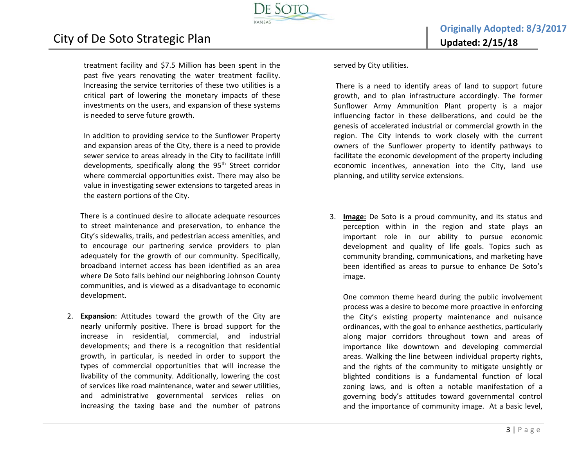treatment facility and \$7.5 Million has been spent in the past five years renovating the water treatment facility. Increasing the service territories of these two utilities is <sup>a</sup> critical part of lowering the monetary impacts of these investments on the users, and expansion of these systems is needed to serve future growth.

City of De Soto Strategic Plan

In addition to providing service to the Sunflower Property and expansion areas of the City, there is <sup>a</sup> need to provide sewer service to areas already in the City to facilitate infill developments, specifically along the 95<sup>th</sup> Street corridor where commercial opportunities exist. There may also be value in investigating sewer extensions to targeted areas in the eastern portions of the City.

There is <sup>a</sup> continued desire to allocate adequate resources to street maintenance and preservation, to enhance the City's sidewalks, trails, and pedestrian access amenities, and to encourage our partnering service providers to plan adequately for the growth of our community. Specifically, broadband internet access has been identified as an area where De Soto falls behind our neighboring Johnson County communities, and is viewed as <sup>a</sup> disadvantage to economic development.

2. **Expansion**: Attitudes toward the growth of the City are nearly uniformly positive. There is broad support for the increase in residential, commercial, and industrial developments; and there is <sup>a</sup> recognition that residential growth, in particular, is needed in order to support the types of commercial opportunities that will increase the livability of the community. Additionally, lowering the cost of services like road maintenance, water and sewer utilities, and administrative governmental services relies on increasing the taxing base and the number of patrons

served by City utilities.

There is <sup>a</sup> need to identify areas of land to support future growth, and to plan infrastructure accordingly. The former Sunflower Army Ammunition Plant property is <sup>a</sup> major influencing factor in these deliberations, and could be the genesis of accelerated industrial or commercial growth in the region. The City intends to work closely with the current owners of the Sunflower property to identify pathways to facilitate the economic development of the property including economic incentives, annexation into the City, land use planning, and utility service extensions.

3. **Image:** De Soto is <sup>a</sup> proud community, and its status and perception within in the region and state plays an important role in our ability to pursue economic development and quality of life goals. Topics such as community branding, communications, and marketing have been identified as areas to pursue to enhance De Soto's image.

One common theme heard during the public involvement process was <sup>a</sup> desire to become more proactive in enforcing the City's existing property maintenance and nuisance ordinances, with the goal to enhance aesthetics, particularly along major corridors throughout town and areas of importance like downtown and developing commercial areas. Walking the line between individual property rights, and the rights of the community to mitigate unsightly or blighted conditions is <sup>a</sup> fundamental function of local zoning laws, and is often <sup>a</sup> notable manifestation of <sup>a</sup> governing body's attitudes toward governmental control and the importance of community image. At <sup>a</sup> basic level,

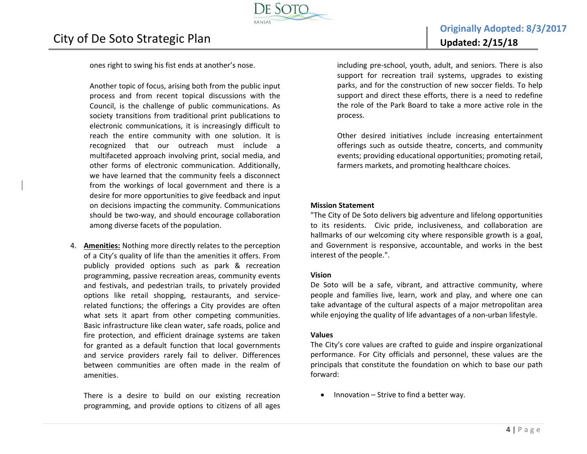ones right to swing his fist ends at another's nose.

Another topic of focus, arising both from the public input process and from recent topical discussions with the Council, is the challenge of public communications. As society transitions from traditional print publications to electronic communications, it is increasingly difficult to reach the entire community with one solution. It is recognized that our outreach must include <sup>a</sup> multifaceted approach involving print, social media, and other forms of electronic communication. Additionally, we have learned that the community feels <sup>a</sup> disconnect from the workings of local government and there is <sup>a</sup> desire for more opportunities to give feedback and input on decisions impacting the community. Communications should be two‐way, and should encourage collaboration among diverse facets of the population.

4. **Amenities:** Nothing more directly relates to the perception of a City's quality of life than the amenities it offers. From publicly provided options such as park & recreation programming, passive recreation areas, community events and festivals, and pedestrian trails, to privately provided options like retail shopping, restaurants, and service‐ related functions; the offerings <sup>a</sup> City provides are often what sets it apart from other competing communities. Basic infrastructure like clean water, safe roads, police and fire protection, and efficient drainage systems are taken for granted as <sup>a</sup> default function that local governments and service providers rarely fail to deliver. Differences between communities are often made in the realm of amenities.

There is <sup>a</sup> desire to build on our existing recreation programming, and provide options to citizens of all ages including pre‐school, youth, adult, and seniors. There is also support for recreation trail systems, upgrades to existing parks, and for the construction of new soccer fields. To help support and direct these efforts, there is <sup>a</sup> need to redefine the role of the Park Board to take <sup>a</sup> more active role in the process.

Other desired initiatives include increasing entertainment offerings such as outside theatre, concerts, and community events; providing educational opportunities; promoting retail, farmers markets, and promoting healthcare choices.

#### **Mission Statement**

"The City of De Soto delivers big adventure and lifelong opportunities to its residents. Civic pride, inclusiveness, and collaboration are hallmarks of our welcoming city where responsible growth is <sup>a</sup> goal, and Government is responsive, accountable, and works in the best interest of the people.".

#### **Vision**

De Soto will be <sup>a</sup> safe, vibrant, and attractive community, where people and families live, learn, work and play, and where one can take advantage of the cultural aspects of <sup>a</sup> major metropolitan area while enjoying the quality of life advantages of <sup>a</sup> non‐urban lifestyle.

#### **Values**

The City's core values are crafted to guide and inspire organizational performance. For City officials and personnel, these values are the principals that constitute the foundation on which to base our path forward:

 $\bullet$ • Innovation – Strive to find a better way.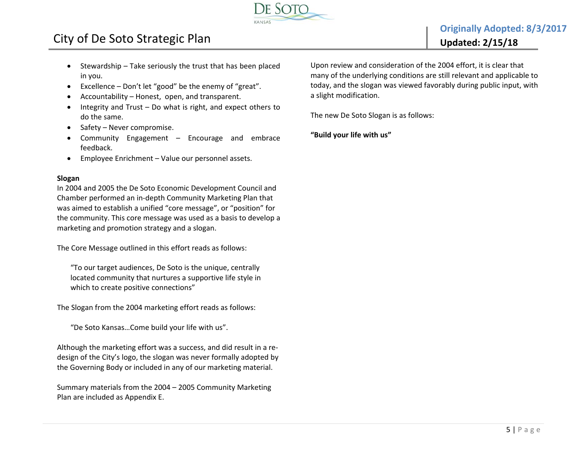

- $\bullet$  Stewardship – Take seriously the trust that has been placed in you.
- $\bullet$ Excellence – Don't let "good" be the enemy of "great".
- $\bullet$ Accountability – Honest, open, and transparent.
- $\bullet$  Integrity and Trust – Do what is right, and expect others to do the same.
- $\bullet$ Safety – Never compromise.
- $\bullet$  Community Engagement – Encourage and embrace feedback.
- $\bullet$ Employee Enrichment – Value our personnel assets.

#### **Slogan**

In 2004 and 2005 the De Soto Economic Development Council and Chamber performed an in‐depth Community Marketing Plan that was aimed to establish <sup>a</sup> unified "core message", or "position" for the community. This core message was used as <sup>a</sup> basis to develop <sup>a</sup> marketing and promotion strategy and <sup>a</sup> slogan.

The Core Message outlined in this effort reads as follows:

"To our target audiences, De Soto is the unique, centrally located community that nurtures <sup>a</sup> supportive life style in which to create positive connections"

The Slogan from the 2004 marketing effort reads as follows:

"De Soto Kansas…Come build your life with us".

Although the marketing effort was <sup>a</sup> success, and did result in <sup>a</sup> re‐ design of the City's logo, the slogan was never formally adopted by the Governing Body or included in any of our marketing material.

Summary materials from the 2004 – 2005 Community Marketing Plan are included as Appendix E.

Upon review and consideration of the 2004 effort, it is clear that many of the underlying conditions are still relevant and applicable to today, and the slogan was viewed favorably during public input, with a slight modification.

The new De Soto Slogan is as follows:

**"Build your life with us"**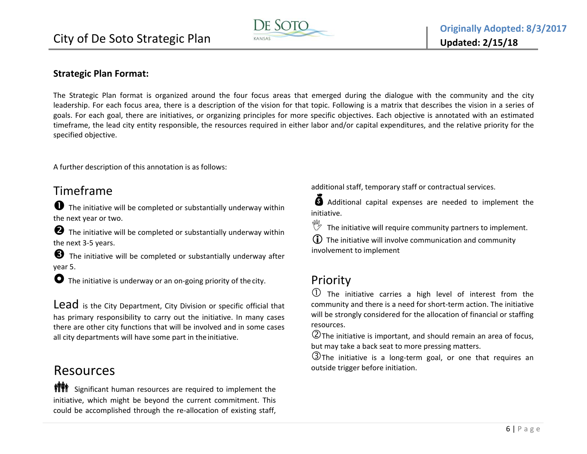

#### **Strategic Plan Format:**

The Strategic Plan format is organized around the four focus areas that emerged during the dialogue with the community and the city leadership. For each focus area, there is <sup>a</sup> description of the vision for that topic. Following is <sup>a</sup> matrix that describes the vision in <sup>a</sup> series of goals. For each goal, there are initiatives, or organizing principles for more specific objectives. Each objective is annotated with an estimated timeframe, the lead city entity responsible, the resources required in either labor and/or capital expenditures, and the relative priority for the specified objective.

A further description of this annotation is as follows:

## Timeframe

 $\bullet$  The initiative will be completed or substantially underway within the next year or two.

**2** The initiative will be completed or substantially underway within the next 3‐5 years.

 $\bigodot$  The initiative will be completed or substantially underway after year 5.

● The initiative is underway or an on-going priority of the city.

 $\mathsf{Lead}\,$  is the City Department, City Division or specific official that has primary responsibility to carry out the initiative. In many cases there are other city functions that will be involved and in some cases all city departments will have some part in theinitiative.

## Resources

**NITE** Significant human resources are required to implement the initiative, which might be beyond the current commitment. This could be accomplished through the re‐allocation of existing staff,

additional staff, temporary staff or contractual services.

 $\ddot{\boldsymbol{\delta}}$  Additional capital expenses are needed to implement the initiative.

 $\mathbb{Y}$  The initiative will require community partners to implement.

 $\Omega$  The initiative will involve communication and community involvement to implement

### Priority

 $\overline{0}$  The initiative carries a high level of interest from the community and there is <sup>a</sup> need for short‐term action. The initiative will be strongly considered for the allocation of financial or staffing resources.

 $\mathcal Q$ The initiative is important, and should remain an area of focus, but may take <sup>a</sup> back seat to more pressing matters.

 $\Im$ The initiative is a long-term goal, or one that requires an outside trigger before initiation.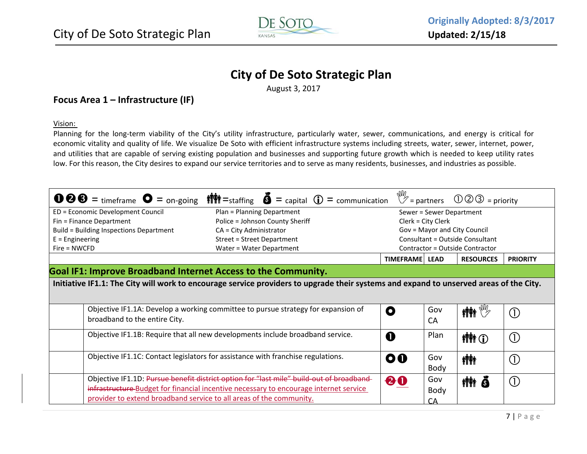

August 3, 2017

#### **Focus Area 1 – Infrastructure (IF)**

Vision:

Planning for the long-term viability of the City's utility infrastructure, particularly water, sewer, communications, and energy is critical for economic vitality and quality of life. We visualize De Soto with efficient infrastructure systems including streets, water, sewer, internet, power, and utilities that are capable of serving existing population and businesses and supporting future growth which is needed to keep utility rates low. For this reason, the City desires to expand our service territories and to serve as many residents, businesses, and industries as possible.

| $\bullet$ 8 = timeframe $\bullet$ = on-going                                                | <b>if <math>\mathbf{F}</math></b> = staffing $\mathbf{\bar{S}}$ = capital $\mathbf{\bar{U}}$ = communication                                                                      |                |                    | $\mathbb{W}_{z}$ = partners $\mathbb{O} \oslash \oslash$ = priority |                            |  |
|---------------------------------------------------------------------------------------------|-----------------------------------------------------------------------------------------------------------------------------------------------------------------------------------|----------------|--------------------|---------------------------------------------------------------------|----------------------------|--|
| ED = Economic Development Council<br>Plan = Planning Department<br>Sewer = Sewer Department |                                                                                                                                                                                   |                |                    |                                                                     |                            |  |
| Fin = Finance Department                                                                    | Police = Johnson County Sheriff                                                                                                                                                   |                | Clerk = City Clerk |                                                                     |                            |  |
| Build = Building Inspections Department                                                     | CA = City Administrator                                                                                                                                                           |                |                    | Gov = Mayor and City Council                                        |                            |  |
| $E =$ Engineering                                                                           | Street = Street Department                                                                                                                                                        |                |                    | Consultant = Outside Consultant                                     |                            |  |
| $Fire = NWCFD$                                                                              | Water = Water Department                                                                                                                                                          |                |                    | Contractor = Outside Contractor                                     |                            |  |
|                                                                                             |                                                                                                                                                                                   | TIMEFRAME LEAD |                    | <b>RESOURCES</b>                                                    | <b>PRIORITY</b>            |  |
| <b>Goal IF1: Improve Broadband Internet Access to the Community.</b>                        |                                                                                                                                                                                   |                |                    |                                                                     |                            |  |
|                                                                                             | Initiative IF1.1: The City will work to encourage service providers to upgrade their systems and expand to unserved areas of the City.                                            |                |                    |                                                                     |                            |  |
| broadband to the entire City.                                                               | Objective IF1.1A: Develop a working committee to pursue strategy for expansion of                                                                                                 | O              | Gov<br>CA          | $\mathbb{M}$ $\mathbb{M}$                                           | $\left( \bigcap_{i=1}^{n}$ |  |
|                                                                                             | Objective IF1.1B: Require that all new developments include broadband service.                                                                                                    | 0              | Plan               | <b>植竹(T)</b>                                                        | $\left($                   |  |
|                                                                                             | Objective IF1.1C: Contact legislators for assistance with franchise regulations.                                                                                                  | OO             | Gov<br><b>Body</b> | <b>ini</b>                                                          | $\left( \bigcap_{i=1}^{n}$ |  |
|                                                                                             | Objective IF1.1D: Pursue benefit district option for "last mile" build-out of broadband-<br>infrastructure Budget for financial incentive necessary to encourage internet service | 80             | Gov<br><b>Body</b> | titit õ                                                             | $\left($                   |  |
| provider to extend broadband service to all areas of the community.                         |                                                                                                                                                                                   |                | CA                 |                                                                     |                            |  |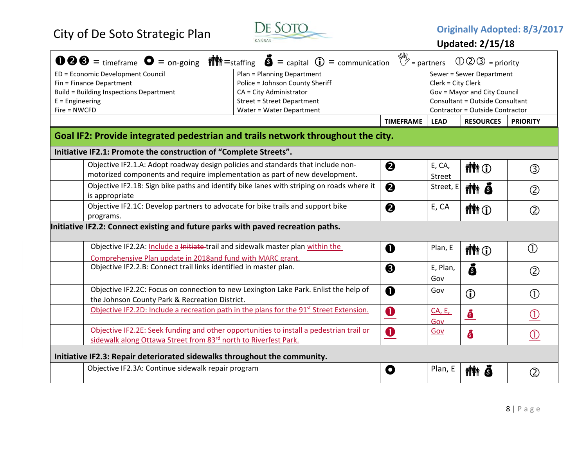

|                                                                                  | <b>1000</b> = timeframe $\bullet$ = on-going $\parallel$ $\parallel$ = staffing $\bullet$ = capital $\circ$ = communication $\mathbb{V}$ = partners             |                       |                         | $\mathbb{O} \mathbb{O} \mathbb{O}$ = priority |                                |
|----------------------------------------------------------------------------------|-----------------------------------------------------------------------------------------------------------------------------------------------------------------|-----------------------|-------------------------|-----------------------------------------------|--------------------------------|
| ED = Economic Development Council                                                | Plan = Planning Department                                                                                                                                      |                       |                         | Sewer = Sewer Department                      |                                |
| Fin = Finance Department                                                         | Police = Johnson County Sheriff                                                                                                                                 |                       | Clerk = City Clerk      |                                               |                                |
| <b>Build = Building Inspections Department</b>                                   | CA = City Administrator                                                                                                                                         |                       |                         | Gov = Mayor and City Council                  |                                |
| $E =$ Engineering                                                                | <b>Street = Street Department</b>                                                                                                                               |                       |                         | <b>Consultant = Outside Consultant</b>        |                                |
| Fire = NWCFD                                                                     | Water = Water Department                                                                                                                                        |                       |                         | Contractor = Outside Contractor               |                                |
|                                                                                  |                                                                                                                                                                 | <b>TIMEFRAME</b>      | <b>LEAD</b>             | <b>RESOURCES</b>                              | <b>PRIORITY</b>                |
|                                                                                  | Goal IF2: Provide integrated pedestrian and trails network throughout the city.                                                                                 |                       |                         |                                               |                                |
| Initiative IF2.1: Promote the construction of "Complete Streets".                |                                                                                                                                                                 |                       |                         |                                               |                                |
|                                                                                  | Objective IF2.1.A: Adopt roadway design policies and standards that include non-<br>motorized components and require implementation as part of new development. | ❷                     | E, CA,<br><b>Street</b> | <b>植竹(T)</b>                                  | $\circledS$                    |
| is appropriate                                                                   | Objective IF2.1B: Sign bike paths and identify bike lanes with striping on roads where it                                                                       | $\boldsymbol{\Theta}$ | Street, E               | titi õ                                        | $\circled{2}$                  |
| programs.                                                                        | Objective IF2.1C: Develop partners to advocate for bike trails and support bike                                                                                 | $\boldsymbol{\Theta}$ | E, CA                   | <b>MM</b> O                                   | $\circled{2}$                  |
| Initiative IF2.2: Connect existing and future parks with paved recreation paths. |                                                                                                                                                                 |                       |                         |                                               |                                |
|                                                                                  | Objective IF2.2A: Include a Initiate trail and sidewalk master plan within the                                                                                  | $\mathbf 0$           | Plan, E                 | <b>MM</b> O                                   | $\circled{1}$                  |
| Comprehensive Plan update in 2018and fund with MARC grant.                       |                                                                                                                                                                 |                       |                         |                                               |                                |
| Objective IF2.2.B: Connect trail links identified in master plan.                |                                                                                                                                                                 | ❸                     | E, Plan,<br>Gov         | ŏ                                             | $\circled{2}$                  |
| the Johnson County Park & Recreation District.                                   | Objective IF2.2C: Focus on connection to new Lexington Lake Park. Enlist the help of                                                                            | $\mathbf 0$           | Gov                     | $\bigcirc$                                    | $\circled{1}$                  |
|                                                                                  | Objective IF2.2D: Include a recreation path in the plans for the 91 <sup>st</sup> Street Extension.                                                             | $\bullet$             | <b>CA, E,</b><br>Gov    | $\mathcal{S}$                                 | $\textcircled{\scriptsize{1}}$ |
|                                                                                  | Objective IF2.2E: Seek funding and other opportunities to install a pedestrian trail or                                                                         | $\bullet$             | Gov                     |                                               | $\circled{0}$                  |
| sidewalk along Ottawa Street from 83rd north to Riverfest Park.                  |                                                                                                                                                                 |                       |                         | $\bullet$                                     |                                |
| Initiative IF2.3: Repair deteriorated sidewalks throughout the community.        |                                                                                                                                                                 |                       |                         |                                               |                                |
| Objective IF2.3A: Continue sidewalk repair program                               |                                                                                                                                                                 | O                     | Plan, E                 | <b>MM</b> 8                                   | Ø                              |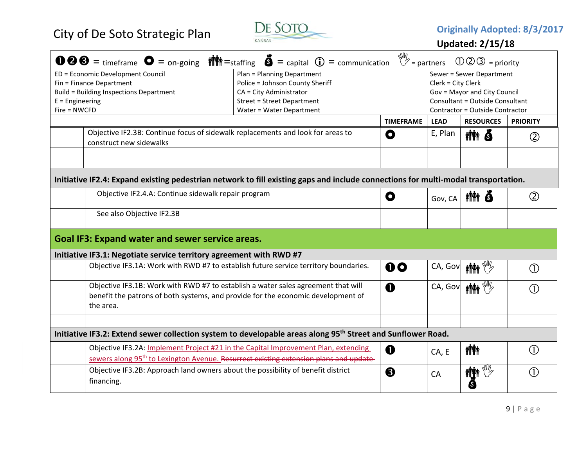

| $\bullet \bullet \bullet =$ timeframe $\bullet =$ on-going $\bullet$ $\bullet$ = staffing $\bullet =$ capital $\bullet$ = communication                                            |                                                                                                   | $\mathbb{W}_{2}$ = partners |                    | $\mathbb{O} \mathbb{O} \mathbb{O} =$ priority |                              |
|------------------------------------------------------------------------------------------------------------------------------------------------------------------------------------|---------------------------------------------------------------------------------------------------|-----------------------------|--------------------|-----------------------------------------------|------------------------------|
| ED = Economic Development Council                                                                                                                                                  | Plan = Planning Department                                                                        |                             |                    | Sewer = Sewer Department                      |                              |
| Fin = Finance Department                                                                                                                                                           | Police = Johnson County Sheriff                                                                   |                             | Clerk = City Clerk |                                               |                              |
| <b>Build = Building Inspections Department</b>                                                                                                                                     | CA = City Administrator                                                                           |                             |                    | Gov = Mayor and City Council                  |                              |
| $E =$ Engineering                                                                                                                                                                  | <b>Street = Street Department</b>                                                                 |                             |                    | Consultant = Outside Consultant               |                              |
| Fire = NWCFD                                                                                                                                                                       | Water = Water Department                                                                          |                             |                    | Contractor = Outside Contractor               |                              |
|                                                                                                                                                                                    |                                                                                                   | <b>TIMEFRAME</b>            | <b>LEAD</b>        | <b>RESOURCES</b>                              | <b>PRIORITY</b>              |
| Objective IF2.3B: Continue focus of sidewalk replacements and look for areas to<br>construct new sidewalks                                                                         |                                                                                                   | O                           | E, Plan            | tith ð                                        | $\circled{2}$                |
|                                                                                                                                                                                    |                                                                                                   |                             |                    |                                               |                              |
| Initiative IF2.4: Expand existing pedestrian network to fill existing gaps and include connections for multi-modal transportation.                                                 |                                                                                                   |                             |                    |                                               |                              |
| Objective IF2.4.A: Continue sidewalk repair program                                                                                                                                |                                                                                                   | O                           | Gov, CA            | tîte q                                        | $\circled{2}$                |
| See also Objective IF2.3B                                                                                                                                                          |                                                                                                   |                             |                    |                                               |                              |
| <b>Goal IF3: Expand water and sewer service areas.</b>                                                                                                                             |                                                                                                   |                             |                    |                                               |                              |
| Initiative IF3.1: Negotiate service territory agreement with RWD #7                                                                                                                |                                                                                                   |                             |                    |                                               |                              |
|                                                                                                                                                                                    | Objective IF3.1A: Work with RWD #7 to establish future service territory boundaries.              | $\mathbf{0}$                |                    | CA, Gov   MAY                                 | $\circled{\scriptstyle 1}$   |
| Objective IF3.1B: Work with RWD #7 to establish a water sales agreement that will<br>benefit the patrons of both systems, and provide for the economic development of<br>the area. |                                                                                                   | $\mathbf 0$                 |                    | CA, Gov   inter                               | $\left( \mathrm{T}\right)$   |
|                                                                                                                                                                                    |                                                                                                   |                             |                    |                                               |                              |
| Initiative IF3.2: Extend sewer collection system to developable areas along 95 <sup>th</sup> Street and Sunflower Road.                                                            |                                                                                                   |                             |                    |                                               |                              |
|                                                                                                                                                                                    | Objective IF3.2A: Implement Project #21 in the Capital Improvement Plan, extending                | $\mathbf 0$                 |                    | <b>ALAY</b>                                   | (1)                          |
|                                                                                                                                                                                    | sewers along 95 <sup>th</sup> to Lexington Avenue. Resurrect existing extension plans and update- |                             | CA, E              |                                               |                              |
| Objective IF3.2B: Approach land owners about the possibility of benefit district<br>financing.                                                                                     |                                                                                                   | ❸                           | CA                 | <b>First Report</b>                           | $\left( \overline{1}\right)$ |
|                                                                                                                                                                                    |                                                                                                   |                             |                    |                                               |                              |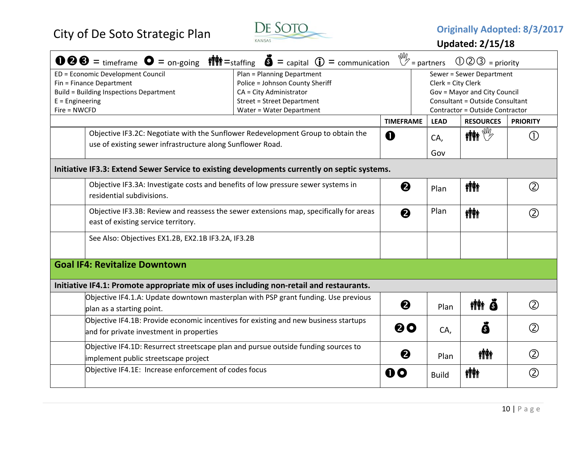

| <b>100€</b> = timeframe $\bullet$ = on-going $\parallel$ $\parallel$ = staffing $\bullet$ = capital $\circ$ = communication $\mathbb{V}$ = partners                                                                                                                                                               |  |                  |                                                                                                                                                             | $\mathbb{O} \mathbb{O} \mathbb{O}$ = priority |                 |
|-------------------------------------------------------------------------------------------------------------------------------------------------------------------------------------------------------------------------------------------------------------------------------------------------------------------|--|------------------|-------------------------------------------------------------------------------------------------------------------------------------------------------------|-----------------------------------------------|-----------------|
| ED = Economic Development Council<br>Plan = Planning Department<br>Fin = Finance Department<br>Police = Johnson County Sheriff<br><b>Build = Building Inspections Department</b><br>CA = City Administrator<br>$E =$ Engineering<br><b>Street = Street Department</b><br>Fire = NWCFD<br>Water = Water Department |  |                  | Sewer = Sewer Department<br>Clerk = City Clerk<br>Gov = Mayor and City Council<br><b>Consultant = Outside Consultant</b><br>Contractor = Outside Contractor |                                               |                 |
|                                                                                                                                                                                                                                                                                                                   |  | <b>TIMEFRAME</b> | <b>LEAD</b>                                                                                                                                                 | <b>RESOURCES</b>                              | <b>PRIORITY</b> |
| Objective IF3.2C: Negotiate with the Sunflower Redevelopment Group to obtain the<br>use of existing sewer infrastructure along Sunflower Road.                                                                                                                                                                    |  | $\mathbf 0$      | CA,                                                                                                                                                         | $\mathbb{M}$ in $\mathbb{W}$                  | $\circ$         |
|                                                                                                                                                                                                                                                                                                                   |  |                  | Gov                                                                                                                                                         |                                               |                 |
| Initiative IF3.3: Extend Sewer Service to existing developments currently on septic systems.                                                                                                                                                                                                                      |  |                  |                                                                                                                                                             |                                               |                 |
| Objective IF3.3A: Investigate costs and benefits of low pressure sewer systems in<br>residential subdivisions.                                                                                                                                                                                                    |  | ❷                | Plan                                                                                                                                                        | <b>ili</b> n                                  | (2)             |
| Objective IF3.3B: Review and reassess the sewer extensions map, specifically for areas<br>east of existing service territory.                                                                                                                                                                                     |  | 0                | Plan                                                                                                                                                        | <b>ili</b> n                                  | (2)             |
| See Also: Objectives EX1.2B, EX2.1B IF3.2A, IF3.2B                                                                                                                                                                                                                                                                |  |                  |                                                                                                                                                             |                                               |                 |
| <b>Goal IF4: Revitalize Downtown</b>                                                                                                                                                                                                                                                                              |  |                  |                                                                                                                                                             |                                               |                 |
| Initiative IF4.1: Promote appropriate mix of uses including non-retail and restaurants.                                                                                                                                                                                                                           |  |                  |                                                                                                                                                             |                                               |                 |
| Objective IF4.1.A: Update downtown masterplan with PSP grant funding. Use previous<br>plan as a starting point.                                                                                                                                                                                                   |  | 0                | Plan                                                                                                                                                        | nin Ö                                         | $\circled{2}$   |
| Objective IF4.1B: Provide economic incentives for existing and new business startups<br>and for private investment in properties                                                                                                                                                                                  |  | 00               | CA,                                                                                                                                                         | Ō                                             | $\circled{2}$   |
| Objective IF4.1D: Resurrect streetscape plan and pursue outside funding sources to<br>implement public streetscape project                                                                                                                                                                                        |  | ❷                | Plan                                                                                                                                                        | <b>iÑi</b>                                    | $^{\circledR}$  |
| Objective IF4.1E: Increase enforcement of codes focus                                                                                                                                                                                                                                                             |  | 00               | <b>Build</b>                                                                                                                                                | <b>ilit</b>                                   | (2)             |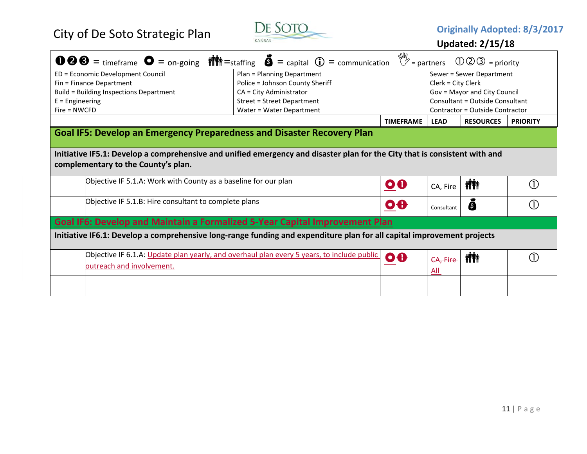

| $\mathbf{0} \otimes \mathbf{0} =$ timeframe $\mathbf{0} =$ on-going $\mathbf{m} =$ staffing $\mathbf{0} =$ capital $\mathbf{0} =$ communication |                                   |                         | $\mathbb{W}_2$ = partners | $\circled{1}\circled{2}\circled{3}$ = priority |                 |
|-------------------------------------------------------------------------------------------------------------------------------------------------|-----------------------------------|-------------------------|---------------------------|------------------------------------------------|-----------------|
| ED = Economic Development Council                                                                                                               | Plan = Planning Department        |                         |                           | Sewer = Sewer Department                       |                 |
| Fin = Finance Department                                                                                                                        | Police = Johnson County Sheriff   |                         | Clerk = City Clerk        |                                                |                 |
| <b>Build = Building Inspections Department</b>                                                                                                  | CA = City Administrator           |                         |                           | Gov = Mayor and City Council                   |                 |
| $E =$ Engineering                                                                                                                               | <b>Street = Street Department</b> |                         |                           | <b>Consultant = Outside Consultant</b>         |                 |
| $Fire = NWCFD$                                                                                                                                  | Water = Water Department          |                         |                           | Contractor = Outside Contractor                |                 |
|                                                                                                                                                 |                                   | <b>TIMEFRAME</b>        | <b>LEAD</b>               | <b>RESOURCES</b>                               | <b>PRIORITY</b> |
| <b>Goal IF5: Develop an Emergency Preparedness and Disaster Recovery Plan</b>                                                                   |                                   |                         |                           |                                                |                 |
|                                                                                                                                                 |                                   |                         |                           |                                                |                 |
| Initiative IF5.1: Develop a comprehensive and unified emergency and disaster plan for the City that is consistent with and                      |                                   |                         |                           |                                                |                 |
| complementary to the County's plan.                                                                                                             |                                   |                         |                           |                                                |                 |
|                                                                                                                                                 |                                   |                         |                           |                                                |                 |
| Objective IF 5.1.A: Work with County as a baseline for our plan                                                                                 |                                   |                         |                           |                                                | (1)             |
|                                                                                                                                                 |                                   | $\mathbf{o} \mathbf{e}$ | CA, Fire                  | <b>ivility</b>                                 |                 |
| Objective IF 5.1.B: Hire consultant to complete plans                                                                                           |                                   |                         |                           |                                                | (1)             |
|                                                                                                                                                 |                                   | $\bullet$               | Consultant                | 6                                              |                 |
| Goal IF6: Develop and Maintain a Formalized 5-Year Capital Improvement Plan                                                                     |                                   |                         |                           |                                                |                 |
| Initiative IF6.1: Develop a comprehensive long-range funding and expenditure plan for all capital improvement projects                          |                                   |                         |                           |                                                |                 |
|                                                                                                                                                 |                                   |                         |                           |                                                |                 |
| Objective IF 6.1.A: Update plan yearly, and overhaul plan every 5 years, to include public                                                      |                                   |                         |                           |                                                |                 |
|                                                                                                                                                 |                                   |                         |                           |                                                |                 |
|                                                                                                                                                 |                                   | $\bullet$               | CA, Fire                  | <b>ini</b>                                     | (1)             |
| outreach and involvement.                                                                                                                       |                                   |                         | All                       |                                                |                 |
|                                                                                                                                                 |                                   |                         |                           |                                                |                 |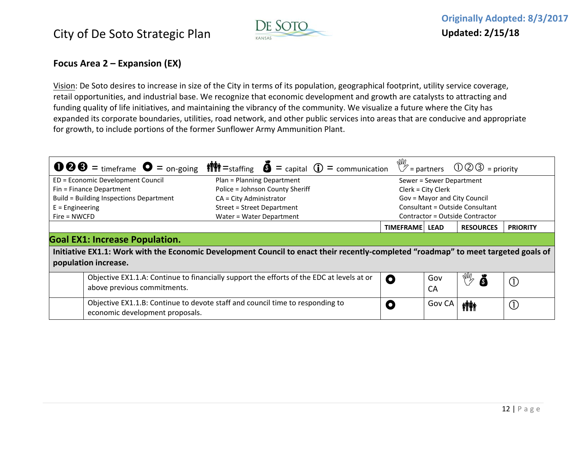

#### **Focus Area 2 – Expansion (EX)**

Vision: De Soto desires to increase in size of the City in terms of its population, geographical footprint, utility service coverage, retail opportunities, and industrial base. We recognize that economic development and growth are catalysts to attracting and funding quality of life initiatives, and maintaining the vibrancy of the community. We visualize <sup>a</sup> future where the City has expanded its corporate boundaries, utilities, road network, and other public services into areas that are conducive and appropriate for growth, to include portions of the former Sunflower Army Ammunition Plant.

|                                         | <b>1000</b> = timeframe $\bullet$ = on-going $\bullet$ $\bullet$ = taffing $\bullet$ = capital $\bullet$ = communication $\mathbb{V}$ = partners 000 = priority |                  |                              |                                 |                              |
|-----------------------------------------|-----------------------------------------------------------------------------------------------------------------------------------------------------------------|------------------|------------------------------|---------------------------------|------------------------------|
| ED = Economic Development Council       | Plan = Planning Department                                                                                                                                      |                  | Sewer = Sewer Department     |                                 |                              |
| Fin = Finance Department                | Police = Johnson County Sheriff                                                                                                                                 |                  | $Clerk = City Clerk$         |                                 |                              |
| Build = Building Inspections Department | $CA = City$ Administrator                                                                                                                                       |                  | Gov = Mayor and City Council |                                 |                              |
| $E =$ Engineering                       | Street = Street Department                                                                                                                                      |                  |                              | Consultant = Outside Consultant |                              |
| $Fire = NWCFD$                          | Water = Water Department                                                                                                                                        |                  |                              | Contractor = Outside Contractor |                              |
|                                         |                                                                                                                                                                 | <b>TIMEFRAME</b> | <b>LEAD</b>                  | <b>RESOURCES</b>                | <b>PRIORITY</b>              |
| <b>Goal EX1: Increase Population.</b>   |                                                                                                                                                                 |                  |                              |                                 |                              |
|                                         | Initiative EX1.1: Work with the Economic Development Council to enact their recently-completed "roadmap" to meet targeted goals of                              |                  |                              |                                 |                              |
| population increase.                    |                                                                                                                                                                 |                  |                              |                                 |                              |
| above previous commitments.             | Objective EX1.1.A: Continue to financially support the efforts of the EDC at levels at or                                                                       | O                | Gov<br>CA                    | <b>AND</b><br>Š                 | (1)                          |
| economic development proposals.         | Objective EX1.1.B: Continue to devote staff and council time to responding to                                                                                   | O                | Gov CA                       | <b>inity</b>                    | $\left( \frac{1}{2} \right)$ |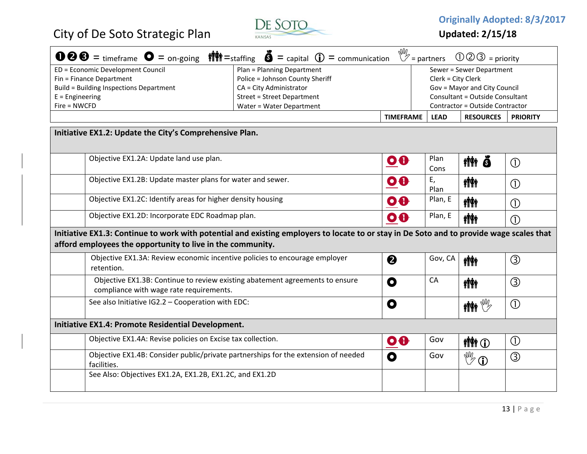

**Originally Adopted: 8/3/2017**

|                                                             | <b>①②⑤</b> = timeframe $\bullet$ = on-going $\parallel$ $\parallel$ = staffing $\bullet$ = capital $\circ$ = communication $\mathbb{V}$ = partners |                  |                    | $\mathbb{O} \mathbb{O} \mathbb{O}$ = priority |                            |
|-------------------------------------------------------------|----------------------------------------------------------------------------------------------------------------------------------------------------|------------------|--------------------|-----------------------------------------------|----------------------------|
| ED = Economic Development Council                           | Plan = Planning Department                                                                                                                         |                  |                    | Sewer = Sewer Department                      |                            |
| Fin = Finance Department                                    | Police = Johnson County Sheriff                                                                                                                    |                  | Clerk = City Clerk |                                               |                            |
| <b>Build = Building Inspections Department</b>              | CA = City Administrator                                                                                                                            |                  |                    | Gov = Mayor and City Council                  |                            |
| $E =$ Engineering                                           | <b>Street = Street Department</b>                                                                                                                  |                  |                    | <b>Consultant = Outside Consultant</b>        |                            |
| $Fire = NWCFD$                                              | Water = Water Department                                                                                                                           |                  |                    | Contractor = Outside Contractor               |                            |
|                                                             |                                                                                                                                                    | <b>TIMEFRAME</b> | <b>LEAD</b>        | <b>RESOURCES</b>                              | <b>PRIORITY</b>            |
| Initiative EX1.2: Update the City's Comprehensive Plan.     |                                                                                                                                                    |                  |                    |                                               |                            |
| Objective EX1.2A: Update land use plan.                     |                                                                                                                                                    | $\bullet$        | Plan<br>Cons       | titi õ                                        | $\circled{0}$              |
| Objective EX1.2B: Update master plans for water and sewer.  |                                                                                                                                                    | $\bullet$        | Ε,<br>Plan         | <b>ilitik</b>                                 | $\bigcirc$                 |
| Objective EX1.2C: Identify areas for higher density housing |                                                                                                                                                    | $\bullet$        | Plan, E            | <b>inity</b>                                  | $\circled{0}$              |
| Objective EX1.2D: Incorporate EDC Roadmap plan.             |                                                                                                                                                    | $\bullet$        | Plan, E            | <b>ATA</b>                                    | $\circled{\scriptstyle 1}$ |
| afford employees the opportunity to live in the community.  | Initiative EX1.3: Continue to work with potential and existing employers to locate to or stay in De Soto and to provide wage scales that           |                  |                    |                                               |                            |
| retention.                                                  | Objective EX1.3A: Review economic incentive policies to encourage employer                                                                         | ❷                | Gov, CA            | <b>ANA</b>                                    | $\circledS$                |
| compliance with wage rate requirements.                     | Objective EX1.3B: Continue to review existing abatement agreements to ensure                                                                       | O                | CA                 | <b>iÑi</b>                                    | ③                          |
| See also Initiative IG2.2 - Cooperation with EDC:           |                                                                                                                                                    | $\mathbf 0$      |                    | $\mathbb{R}^{\mathbb{N}}$ in $\mathbb{N}$     | $\circled{0}$              |
| Initiative EX1.4: Promote Residential Development.          |                                                                                                                                                    |                  |                    |                                               |                            |
| Objective EX1.4A: Revise policies on Excise tax collection. |                                                                                                                                                    | $\bullet$        | Gov                | <b>MM</b> O                                   | $\circled{0}$              |
| facilities.                                                 | Objective EX1.4B: Consider public/private partnerships for the extension of needed                                                                 | $\mathbf 0$      | Gov                | $\mathbb{C}^{\mathbb{C}}$                     | $\circledS$                |
| See Also: Objectives EX1.2A, EX1.2B, EX1.2C, and EX1.2D     |                                                                                                                                                    |                  |                    |                                               |                            |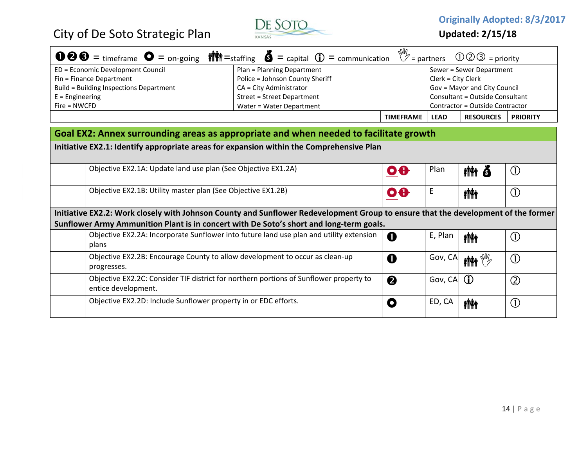

**Originally Adopted: 8/3/2017**

**Updated: 2/15/18**

|                                         | <b>①②③</b> = timeframe $\bullet$ = on-going $\parallel \parallel \parallel \parallel$ = staffing $\bullet$ = capital $\bullet$ = communication $\mathbb{V}$ = partners $\textcircled{10}$ = priority |                                 |             |                          |                 |
|-----------------------------------------|------------------------------------------------------------------------------------------------------------------------------------------------------------------------------------------------------|---------------------------------|-------------|--------------------------|-----------------|
| ED = Economic Development Council       | Plan = Planning Department                                                                                                                                                                           |                                 |             | Sewer = Sewer Department |                 |
| Fin = Finance Department                | Police = Johnson County Sheriff                                                                                                                                                                      | Clerk = City Clerk              |             |                          |                 |
| Build = Building Inspections Department | Gov = Mayor and City Council<br>CA = City Administrator                                                                                                                                              |                                 |             |                          |                 |
| $E =$ Engineering                       | <b>Street = Street Department</b>                                                                                                                                                                    | Consultant = Outside Consultant |             |                          |                 |
| $Fire = NWCFD$                          | Water = Water Department                                                                                                                                                                             | Contractor = Outside Contractor |             |                          |                 |
|                                         |                                                                                                                                                                                                      | <b>TIMEFRAME</b>                | <b>LEAD</b> | <b>RESOURCES</b>         | <b>PRIORITY</b> |

#### **Goal EX2: Annex surrounding areas as appropriate and when needed to facilitate growth**

**Initiative EX2.1: Identify appropriate areas for expansion within the Comprehensive Plan**

| Objective EX2.1A: Update land use plan (See Objective EX1.2A)                                                                     | $\bullet$ | Plan    | <b>ivit</b><br>Ā             | $\bigcirc$    |
|-----------------------------------------------------------------------------------------------------------------------------------|-----------|---------|------------------------------|---------------|
| Objective EX2.1B: Utility master plan (See Objective EX1.2B)                                                                      | $\bullet$ | E       | <b>ith</b>                   | $\bigcirc$    |
| Initiative EX2.2: Work closely with Johnson County and Sunflower Redevelopment Group to ensure that the development of the former |           |         |                              |               |
| Sunflower Army Ammunition Plant is in concert with De Soto's short and long-term goals.                                           |           |         |                              |               |
| Objective EX2.2A: Incorporate Sunflower into future land use plan and utility extension<br>plans                                  | 0         | E, Plan | <b>ATA</b>                   | $\bigcirc$    |
| Objective EX2.2B: Encourage County to allow development to occur as clean-up<br>progresses.                                       | O         | Gov, CA | $\mathbb{M}$ in $\mathbb{W}$ | $\bigcirc$    |
| Objective EX2.2C: Consider TIF district for northern portions of Sunflower property to<br>entice development.                     | 2         | Gov, CA | G)                           | $\circled{2}$ |
| Objective EX2.2D: Include Sunflower property in or EDC efforts.                                                                   | O         | ED, CA  | <b>ini</b>                   | $\bigcirc$    |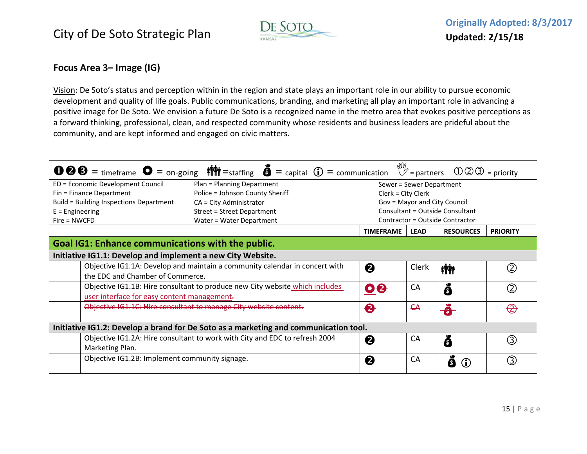

### **Focus Area 3– Image (IG)**

<u>Vision</u>: De Soto's status and perception within in the region and state plays an important role in our ability to pursue economic development and quality of life goals. Public communications, branding, and marketing all play an important role in advancing <sup>a</sup> positive image for De Soto. We envision <sup>a</sup> future De Soto is <sup>a</sup> recognized name in the metro area that evokes positive perceptions as a forward thinking, professional, clean, and respected community whose residents and business leaders are prideful about the community, and are kept informed and engaged on civic matters.

|                                                             | <b>1000</b> = timeframe $\bullet$ = on-going $\bullet$ $\bullet$ = taffing $\bullet$ = capital $\bullet$ = communication $\mathbb{V}$ = partners $\bullet$ 000 = priority |                    |                          |                                        |                 |
|-------------------------------------------------------------|---------------------------------------------------------------------------------------------------------------------------------------------------------------------------|--------------------|--------------------------|----------------------------------------|-----------------|
| ED = Economic Development Council                           | Plan = Planning Department                                                                                                                                                |                    | Sewer = Sewer Department |                                        |                 |
| Fin = Finance Department                                    | Police = Johnson County Sheriff                                                                                                                                           | Clerk = City Clerk |                          |                                        |                 |
| Build = Building Inspections Department                     | $CA = City$ Administrator                                                                                                                                                 |                    |                          | Gov = Mayor and City Council           |                 |
| $E =$ Engineering                                           | <b>Street = Street Department</b>                                                                                                                                         |                    |                          | <b>Consultant = Outside Consultant</b> |                 |
| $Fire = NWCFD$                                              | Water = Water Department                                                                                                                                                  |                    |                          | Contractor = Outside Contractor        |                 |
|                                                             |                                                                                                                                                                           | <b>TIMEFRAME</b>   | <b>LEAD</b>              | <b>RESOURCES</b>                       | <b>PRIORITY</b> |
| <b>Goal IG1: Enhance communications with the public.</b>    |                                                                                                                                                                           |                    |                          |                                        |                 |
| Initiative IG1.1: Develop and implement a new City Website. |                                                                                                                                                                           |                    |                          |                                        |                 |
|                                                             | Objective IG1.1A: Develop and maintain a community calendar in concert with                                                                                               | ❷                  | Clerk                    | <b>iffi</b>                            |                 |
| the EDC and Chamber of Commerce.                            |                                                                                                                                                                           |                    |                          |                                        |                 |
|                                                             | Objective IG1.1B: Hire consultant to produce new City website which includes                                                                                              | 08                 | СA                       | $\mathbf{\Omega}$                      | (2)             |
| user interface for easy content management.                 |                                                                                                                                                                           |                    |                          |                                        |                 |
|                                                             | Objective IG1.1C: Hire consultant to manage City website content.                                                                                                         | $\bullet$          | <b>CA</b>                | $\bullet$                              | <del>(2</del>   |
|                                                             |                                                                                                                                                                           |                    |                          |                                        |                 |
|                                                             | Initiative IG1.2: Develop a brand for De Soto as a marketing and communication tool.                                                                                      |                    |                          |                                        |                 |
|                                                             | Objective IG1.2A: Hire consultant to work with City and EDC to refresh 2004                                                                                               | ❷                  | СA                       | 6                                      | 3               |
| Marketing Plan.                                             |                                                                                                                                                                           |                    |                          |                                        |                 |
| Objective IG1.2B: Implement community signage.              |                                                                                                                                                                           | 2                  | СA                       | A                                      |                 |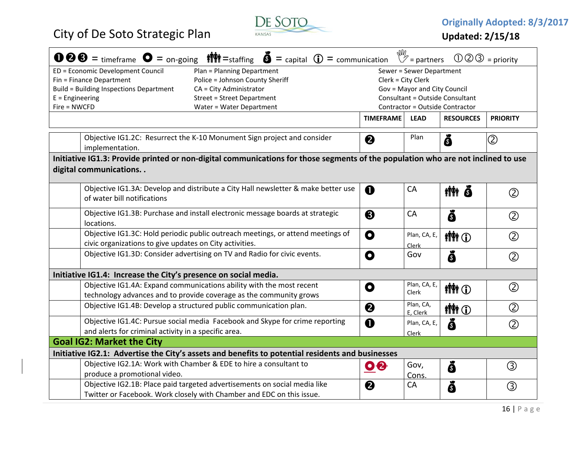

**Originally Adopted: 8/3/2017**

|                                         | $\bullet \bullet \bullet =$ timeframe $\bullet =$ on-going $\bullet$ $\bullet$ = staffing $\bullet$ = capital $\bullet$ = communication |                         | $\mathbb{W}_{2}$ = partners  | $\textcircled{1}\textcircled{3}$ = priority |                 |
|-----------------------------------------|-----------------------------------------------------------------------------------------------------------------------------------------|-------------------------|------------------------------|---------------------------------------------|-----------------|
| ED = Economic Development Council       | Plan = Planning Department                                                                                                              |                         | Sewer = Sewer Department     |                                             |                 |
| Fin = Finance Department                | Police = Johnson County Sheriff                                                                                                         | Clerk = City Clerk      |                              |                                             |                 |
| Build = Building Inspections Department | CA = City Administrator                                                                                                                 |                         | Gov = Mayor and City Council |                                             |                 |
| $E =$ Engineering                       | <b>Street = Street Department</b>                                                                                                       |                         |                              | Consultant = Outside Consultant             |                 |
| Fire = NWCFD                            | Water = Water Department                                                                                                                |                         |                              | Contractor = Outside Contractor             |                 |
|                                         |                                                                                                                                         | <b>TIMEFRAME</b>        | <b>LEAD</b>                  | <b>RESOURCES</b>                            | <b>PRIORITY</b> |
| implementation.                         | Objective IG1.2C: Resurrect the K-10 Monument Sign project and consider                                                                 | 0                       | Plan                         | Ŏ                                           | $\circled{2}$   |
|                                         | Initiative IG1.3: Provide printed or non-digital communications for those segments of the population who are not inclined to use        |                         |                              |                                             |                 |
| digital communications                  |                                                                                                                                         |                         |                              |                                             |                 |
|                                         |                                                                                                                                         |                         |                              |                                             |                 |
|                                         | Objective IG1.3A: Develop and distribute a City Hall newsletter & make better use                                                       | $\mathbf 0$             | CA                           | tîti Õ                                      |                 |
| of water bill notifications             |                                                                                                                                         |                         |                              |                                             | $^{\circledR}$  |
|                                         |                                                                                                                                         |                         |                              |                                             |                 |
|                                         | Objective IG1.3B: Purchase and install electronic message boards at strategic                                                           | ❸                       | CA                           | Õ                                           | $\circled{2}$   |
| locations.                              |                                                                                                                                         |                         |                              |                                             |                 |
|                                         | Objective IG1.3C: Hold periodic public outreach meetings, or attend meetings of                                                         | O                       | Plan, CA, E,                 | <b>MM</b> O                                 | $\circled{2}$   |
|                                         | civic organizations to give updates on City activities.                                                                                 |                         | Clerk                        |                                             |                 |
|                                         | Objective IG1.3D: Consider advertising on TV and Radio for civic events.                                                                | $\mathbf{o}$            | Gov                          | Õ                                           | $\circled{2}$   |
|                                         | Initiative IG1.4: Increase the City's presence on social media.                                                                         |                         |                              |                                             |                 |
|                                         | Objective IG1.4A: Expand communications ability with the most recent                                                                    | O                       | Plan, CA, E,                 | <b>MM</b> O                                 | $\circled{2}$   |
|                                         | technology advances and to provide coverage as the community grows                                                                      |                         | Clerk                        |                                             |                 |
|                                         | Objective IG1.4B: Develop a structured public communication plan.                                                                       | 2                       | Plan, CA,                    | <b>MM</b> O                                 | $^{\circledR}$  |
|                                         |                                                                                                                                         |                         | E, Clerk                     |                                             |                 |
|                                         | Objective IG1.4C: Pursue social media Facebook and Skype for crime reporting                                                            | 0                       | Plan, CA, E,                 | Õ                                           | $^{\circledR}$  |
|                                         | and alerts for criminal activity in a specific area.                                                                                    |                         | <b>Clerk</b>                 |                                             |                 |
| <b>Goal IG2: Market the City</b>        |                                                                                                                                         |                         |                              |                                             |                 |
|                                         | Initiative IG2.1: Advertise the City's assets and benefits to potential residents and businesses                                        |                         |                              |                                             |                 |
|                                         | Objective IG2.1A: Work with Chamber & EDE to hire a consultant to                                                                       | $\overline{\mathbf{0}}$ | Gov,                         | Õ                                           | $\circledS$     |
| produce a promotional video.            |                                                                                                                                         |                         | Cons.                        |                                             |                 |
|                                         | Objective IG2.1B: Place paid targeted advertisements on social media like                                                               | 0                       | CA                           | ŏ                                           | ③               |
|                                         | Twitter or Facebook. Work closely with Chamber and EDC on this issue.                                                                   |                         |                              |                                             |                 |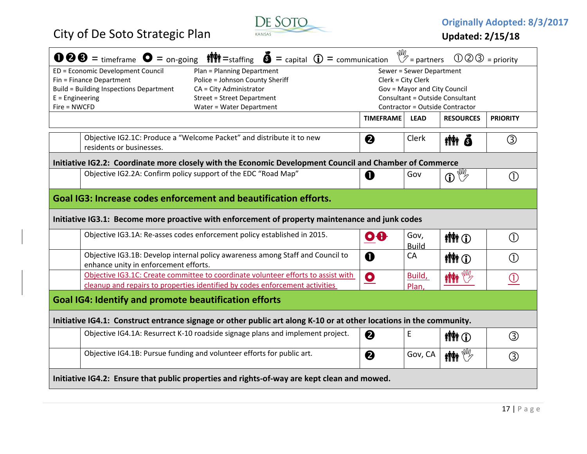

**Originally Adopted: 8/3/2017**

| <b>100</b> = timeframe $\bullet$ = on-going $\parallel \bullet \parallel \bullet$ = staffing $\bullet$ = capital $\circled{0}$ = communication $\mathbb{W}$ = partners |                         |                              | $\mathbb{O} \mathbb{O} \mathbb{O}$ = priority |                            |  |  |  |  |
|------------------------------------------------------------------------------------------------------------------------------------------------------------------------|-------------------------|------------------------------|-----------------------------------------------|----------------------------|--|--|--|--|
| ED = Economic Development Council<br>Plan = Planning Department<br>Sewer = Sewer Department                                                                            |                         |                              |                                               |                            |  |  |  |  |
| Police = Johnson County Sheriff<br>Fin = Finance Department                                                                                                            |                         | Clerk = City Clerk           |                                               |                            |  |  |  |  |
| Build = Building Inspections Department<br>CA = City Administrator                                                                                                     |                         | Gov = Mayor and City Council |                                               |                            |  |  |  |  |
| Consultant = Outside Consultant<br>$E =$ Engineering<br><b>Street = Street Department</b><br>Contractor = Outside Contractor                                           |                         |                              |                                               |                            |  |  |  |  |
| Fire = NWCFD<br>Water = Water Department                                                                                                                               |                         |                              |                                               |                            |  |  |  |  |
|                                                                                                                                                                        | <b>TIMEFRAME</b>        | <b>LEAD</b>                  | <b>RESOURCES</b>                              | <b>PRIORITY</b>            |  |  |  |  |
| Objective IG2.1C: Produce a "Welcome Packet" and distribute it to new                                                                                                  | 0                       | Clerk                        | <b>tith 6</b>                                 | ③                          |  |  |  |  |
| residents or businesses.                                                                                                                                               |                         |                              |                                               |                            |  |  |  |  |
| Initiative IG2.2: Coordinate more closely with the Economic Development Council and Chamber of Commerce                                                                |                         |                              |                                               |                            |  |  |  |  |
| Objective IG2.2A: Confirm policy support of the EDC "Road Map"                                                                                                         | O                       | Gov                          | $\mathbf{D}$                                  | (1)                        |  |  |  |  |
| Goal IG3: Increase codes enforcement and beautification efforts.                                                                                                       |                         |                              |                                               |                            |  |  |  |  |
| Initiative IG3.1: Become more proactive with enforcement of property maintenance and junk codes                                                                        |                         |                              |                                               |                            |  |  |  |  |
| Objective IG3.1A: Re-asses codes enforcement policy established in 2015.                                                                                               | $\overline{\mathbf{0}}$ | Gov,<br><b>Build</b>         | <b>MM</b> O                                   | $\circled{\scriptstyle 1}$ |  |  |  |  |
| Objective IG3.1B: Develop internal policy awareness among Staff and Council to<br>enhance unity in enforcement efforts.                                                | $\mathbf 0$             | CA                           | <b>MM</b> O                                   | $\circled{\scriptstyle 1}$ |  |  |  |  |
| Objective IG3.1C: Create committee to coordinate volunteer efforts to assist with                                                                                      | $\bullet$               | Build,                       | <b>MAN</b>                                    |                            |  |  |  |  |
| cleanup and repairs to properties identified by codes enforcement activities                                                                                           |                         | Plan                         |                                               | O                          |  |  |  |  |
| <b>Goal IG4: Identify and promote beautification efforts</b>                                                                                                           |                         |                              |                                               |                            |  |  |  |  |
| Initiative IG4.1: Construct entrance signage or other public art along K-10 or at other locations in the community.                                                    |                         |                              |                                               |                            |  |  |  |  |
| Objective IG4.1A: Resurrect K-10 roadside signage plans and implement project.                                                                                         | ❷                       | E                            | <b>MMO</b>                                    | ③                          |  |  |  |  |
| Objective IG4.1B: Pursue funding and volunteer efforts for public art.                                                                                                 | 2                       | Gov, CA                      | $\mathbf{M} \in \mathbb{R}^{n \times n}$      | ③                          |  |  |  |  |
| Initiative IG4.2: Ensure that public properties and rights-of-way are kept clean and mowed.                                                                            |                         |                              |                                               |                            |  |  |  |  |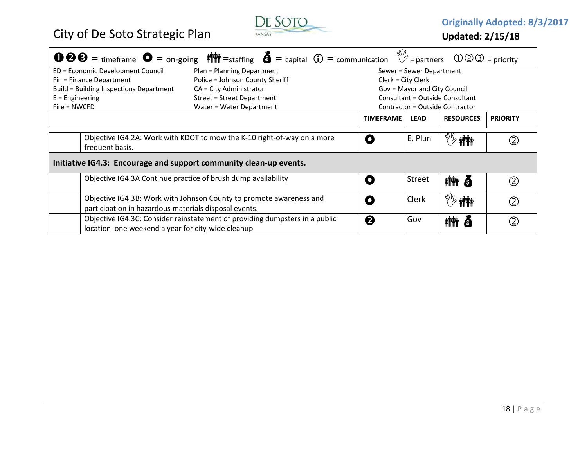

**Originally Adopted: 8/3/2017**

| <b>1000</b> = timeframe $\bullet$ = on-going $\parallel \bullet \parallel \parallel$ = staffing $\bullet$ = capital $\bullet$ = communication $\mathbb{V}$ = partners $\circled{10}$ = priority |                                                                                                                                  |                                   |  |  |                  |                                 |                                  |                 |
|-------------------------------------------------------------------------------------------------------------------------------------------------------------------------------------------------|----------------------------------------------------------------------------------------------------------------------------------|-----------------------------------|--|--|------------------|---------------------------------|----------------------------------|-----------------|
| ED = Economic Development Council                                                                                                                                                               |                                                                                                                                  | Plan = Planning Department        |  |  |                  | Sewer = Sewer Department        |                                  |                 |
| Fin = Finance Department                                                                                                                                                                        |                                                                                                                                  | Police = Johnson County Sheriff   |  |  |                  | Clerk = City Clerk              |                                  |                 |
| Build = Building Inspections Department                                                                                                                                                         |                                                                                                                                  | $CA = City$ Administrator         |  |  |                  | Gov = Mayor and City Council    |                                  |                 |
| $E =$ Engineering                                                                                                                                                                               |                                                                                                                                  | <b>Street = Street Department</b> |  |  |                  | Consultant = Outside Consultant |                                  |                 |
| $Fire = NWCFD$                                                                                                                                                                                  |                                                                                                                                  | Water = Water Department          |  |  |                  | Contractor = Outside Contractor |                                  |                 |
|                                                                                                                                                                                                 |                                                                                                                                  |                                   |  |  | <b>TIMEFRAME</b> | <b>LEAD</b>                     | <b>RESOURCES</b>                 | <b>PRIORITY</b> |
| frequent basis.                                                                                                                                                                                 | Objective IG4.2A: Work with KDOT to mow the K-10 right-of-way on a more                                                          |                                   |  |  | $\bullet$        | E, Plan                         | <b>iÑi</b>                       |                 |
| Initiative IG4.3: Encourage and support community clean-up events.                                                                                                                              |                                                                                                                                  |                                   |  |  |                  |                                 |                                  |                 |
|                                                                                                                                                                                                 | Objective IG4.3A Continue practice of brush dump availability                                                                    |                                   |  |  | $\bullet$        | <b>Street</b>                   | tith ō                           |                 |
|                                                                                                                                                                                                 | Objective IG4.3B: Work with Johnson County to promote awareness and<br>participation in hazardous materials disposal events.     |                                   |  |  | $\bullet$        | <b>Clerk</b>                    | $\mathbb{R}^N$ in $\mathbb{R}^N$ |                 |
|                                                                                                                                                                                                 | Objective IG4.3C: Consider reinstatement of providing dumpsters in a public<br>location one weekend a year for city-wide cleanup |                                   |  |  | 2                | Gov                             | nin ð                            |                 |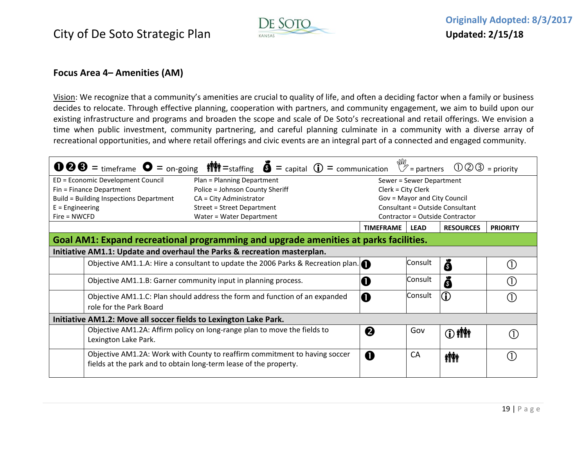

#### **Focus Area 4– Amenities (AM)**

<u>Vision</u>: We recognize that a community's amenities are crucial to quality of life, and often a deciding factor when a family or business decides to relocate. Through effective planning, cooperation with partners, and community engagement, we aim to build upon our existing infrastructure and programs and broaden the scope and scale of De Soto's recreational and retail offerings. We envision <sup>a</sup> time when public investment, community partnering, and careful planning culminate in <sup>a</sup> community with <sup>a</sup> diverse array of recreational opportunities, and where retail offerings and civic events are an integral part of <sup>a</sup> connected and engaged community.

| <b>1006</b> = timeframe $\bullet$ = on-going $\parallel$ $\parallel$ = staffing $\bullet$ = capital $\circ$ = communication $\mathbb{V}$ = partners $\circ$ 003 = priority |                                                                                  |  |                    |                              |                                 |                 |
|----------------------------------------------------------------------------------------------------------------------------------------------------------------------------|----------------------------------------------------------------------------------|--|--------------------|------------------------------|---------------------------------|-----------------|
| ED = Economic Development Council                                                                                                                                          | Plan = Planning Department                                                       |  |                    | Sewer = Sewer Department     |                                 |                 |
| Fin = Finance Department                                                                                                                                                   | Police = Johnson County Sheriff                                                  |  | Clerk = City Clerk |                              |                                 |                 |
| Build = Building Inspections Department                                                                                                                                    | CA = City Administrator                                                          |  |                    | Gov = Mayor and City Council |                                 |                 |
| $E =$ Engineering                                                                                                                                                          | Street = Street Department                                                       |  |                    |                              | Consultant = Outside Consultant |                 |
| $Fire = NWCFD$                                                                                                                                                             | Water = Water Department                                                         |  |                    |                              | Contractor = Outside Contractor |                 |
|                                                                                                                                                                            |                                                                                  |  | <b>TIMEFRAME</b>   | <b>LEAD</b>                  | <b>RESOURCES</b>                | <b>PRIORITY</b> |
| Goal AM1: Expand recreational programming and upgrade amenities at parks facilities.                                                                                       |                                                                                  |  |                    |                              |                                 |                 |
| Initiative AM1.1: Update and overhaul the Parks & recreation masterplan.                                                                                                   |                                                                                  |  |                    |                              |                                 |                 |
|                                                                                                                                                                            | Objective AM1.1.A: Hire a consultant to update the 2006 Parks & Recreation plan. |  |                    | Consult                      | ŏ                               |                 |
|                                                                                                                                                                            | Objective AM1.1.B: Garner community input in planning process.                   |  | O                  | Consult                      | 6                               |                 |
|                                                                                                                                                                            | Objective AM1.1.C: Plan should address the form and function of an expanded      |  | O                  | Consult                      | lO)                             |                 |
| role for the Park Board                                                                                                                                                    |                                                                                  |  |                    |                              |                                 |                 |
| Initiative AM1.2: Move all soccer fields to Lexington Lake Park.                                                                                                           |                                                                                  |  |                    |                              |                                 |                 |
|                                                                                                                                                                            | Objective AM1.2A: Affirm policy on long-range plan to move the fields to         |  | 2                  | Gov                          | <b>① 柳</b>                      |                 |
| Lexington Lake Park.                                                                                                                                                       |                                                                                  |  |                    |                              |                                 |                 |
|                                                                                                                                                                            | Objective AM1.2A: Work with County to reaffirm commitment to having soccer       |  | O                  | CA                           | <b>iÑi</b>                      |                 |
|                                                                                                                                                                            | fields at the park and to obtain long-term lease of the property.                |  |                    |                              |                                 |                 |
|                                                                                                                                                                            |                                                                                  |  |                    |                              |                                 |                 |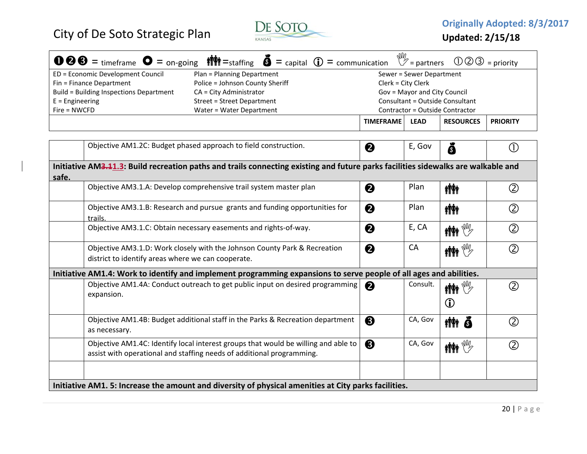

**Updated: 2/15/18**

|                                                                    |                                                    | <b>000</b> = timeframe $\bullet$ = on-going $\parallel \bullet \parallel \parallel$ = staffing $\bullet$ = capital $\circled{D}$ = communication $\vee$ = partners |                  |                              | $\mathbb{O} \mathbb{O} \mathbb{O} =$ priority |                 |
|--------------------------------------------------------------------|----------------------------------------------------|--------------------------------------------------------------------------------------------------------------------------------------------------------------------|------------------|------------------------------|-----------------------------------------------|-----------------|
|                                                                    | ED = Economic Development Council                  | Plan = Planning Department                                                                                                                                         |                  | Sewer = Sewer Department     |                                               |                 |
|                                                                    | Fin = Finance Department                           | Police = Johnson County Sheriff                                                                                                                                    |                  | Clerk = City Clerk           |                                               |                 |
| Build = Building Inspections Department<br>CA = City Administrator |                                                    |                                                                                                                                                                    |                  | Gov = Mayor and City Council |                                               |                 |
| $E =$ Engineering                                                  |                                                    | Street = Street Department                                                                                                                                         |                  |                              | Consultant = Outside Consultant               |                 |
| Fire = NWCFD                                                       |                                                    | Water = Water Department                                                                                                                                           |                  |                              | Contractor = Outside Contractor               |                 |
|                                                                    |                                                    |                                                                                                                                                                    | <b>TIMEFRAME</b> | <b>LEAD</b>                  | <b>RESOURCES</b>                              | <b>PRIORITY</b> |
|                                                                    |                                                    |                                                                                                                                                                    |                  |                              |                                               |                 |
| Objective AM1.2C: Budget phased approach to field construction.    |                                                    |                                                                                                                                                                    | 2                | E, Gov                       | ŏ                                             |                 |
| safe.                                                              |                                                    | Initiative AM3.11.3: Build recreation paths and trails connecting existing and future parks facilities sidewalks are walkable and                                  |                  |                              |                                               |                 |
|                                                                    |                                                    | Objective AM3.1.A: Develop comprehensive trail system master plan                                                                                                  | ❷                | Plan                         | <b>iik</b>                                    | (2)             |
|                                                                    | trails.                                            | Objective AM3.1.B: Research and pursue grants and funding opportunities for                                                                                        | 2                | Plan                         | <b>ility</b>                                  | (2)             |
|                                                                    |                                                    | Objective AM3.1.C: Obtain necessary easements and rights-of-way.                                                                                                   | 2                | E, CA                        | $\mathbf{M}$ which $\mathbb{W}_{\mathbb{Z}}$  | (2)             |
|                                                                    | district to identify areas where we can cooperate. | Objective AM3.1.D: Work closely with the Johnson County Park & Recreation                                                                                          | ❷                | <b>CA</b>                    | $\mathbb{M}$ in $\mathbb{V}$                  | (2)             |

| uistrict to identify areas writere we can cooperate.                                                                                                        |                       |          |                                                            |    |  |  |  |  |  |
|-------------------------------------------------------------------------------------------------------------------------------------------------------------|-----------------------|----------|------------------------------------------------------------|----|--|--|--|--|--|
| Initiative AM1.4: Work to identify and implement programming expansions to serve people of all ages and abilities.                                          |                       |          |                                                            |    |  |  |  |  |  |
| Objective AM1.4A: Conduct outreach to get public input on desired programming<br>expansion.                                                                 | $\boldsymbol{\Omega}$ | Consult. | $\mathbf{M}$ where $\mathbb{W}_{\mathbb{Z}}$<br>$\bigcirc$ |    |  |  |  |  |  |
| Objective AM1.4B: Budget additional staff in the Parks & Recreation department<br>as necessary.                                                             | ❸                     | CA, Gov  | tith õ                                                     | 2) |  |  |  |  |  |
| Objective AM1.4C: Identify local interest groups that would be willing and able to<br>assist with operational and staffing needs of additional programming. | ❸                     | CA, Gov  | $\mathbf{M}$                                               |    |  |  |  |  |  |
|                                                                                                                                                             |                       |          |                                                            |    |  |  |  |  |  |

**Initiative AM1. 5: Increase the amount and diversity of physical amenities at City parks facilities.**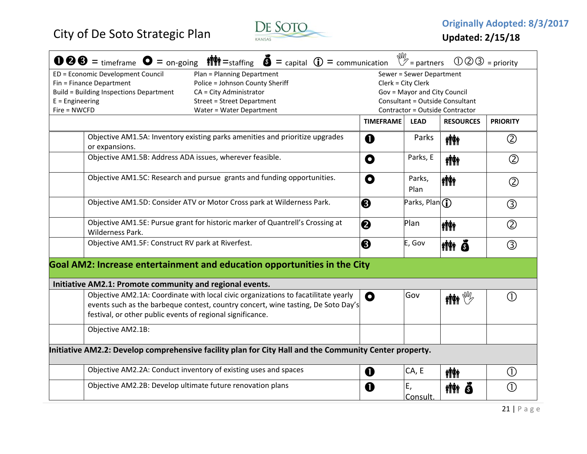

|                   |                                                                                                                                                  |                                   | $\bullet \bullet \bullet =$ timeframe $\bullet =$ on-going $\parallel \bullet \parallel \bullet =$ staffing $\bullet =$ capital $\bullet =$ communication |                    | $\mathbb{W}_{2}$ = partners                     | $\mathbb{O} \mathbb{O} \mathbb{O} =$ priority |                            |  |
|-------------------|--------------------------------------------------------------------------------------------------------------------------------------------------|-----------------------------------|-----------------------------------------------------------------------------------------------------------------------------------------------------------|--------------------|-------------------------------------------------|-----------------------------------------------|----------------------------|--|
|                   | ED = Economic Development Council                                                                                                                | Plan = Planning Department        |                                                                                                                                                           |                    | Sewer = Sewer Department                        |                                               |                            |  |
|                   | Fin = Finance Department                                                                                                                         | Police = Johnson County Sheriff   |                                                                                                                                                           | Clerk = City Clerk |                                                 |                                               |                            |  |
|                   | <b>Build = Building Inspections Department</b>                                                                                                   | CA = City Administrator           |                                                                                                                                                           |                    | Gov = Mayor and City Council                    |                                               |                            |  |
| $E =$ Engineering |                                                                                                                                                  | <b>Street = Street Department</b> |                                                                                                                                                           |                    |                                                 | <b>Consultant = Outside Consultant</b>        |                            |  |
| Fire = NWCFD      |                                                                                                                                                  | Water = Water Department          |                                                                                                                                                           |                    |                                                 | Contractor = Outside Contractor               |                            |  |
|                   |                                                                                                                                                  |                                   |                                                                                                                                                           | <b>TIMEFRAME</b>   | <b>LEAD</b>                                     | <b>RESOURCES</b>                              | <b>PRIORITY</b>            |  |
|                   | Objective AM1.5A: Inventory existing parks amenities and prioritize upgrades<br>or expansions.                                                   |                                   |                                                                                                                                                           | $\mathbf 0$        | Parks                                           | <b>iii</b> i                                  | $\circled{2}$              |  |
|                   | Objective AM1.5B: Address ADA issues, wherever feasible.                                                                                         |                                   |                                                                                                                                                           | O                  | Parks, E                                        | <b>iii</b> i                                  | $^{\circledR}$             |  |
|                   | Objective AM1.5C: Research and pursue grants and funding opportunities.                                                                          |                                   |                                                                                                                                                           | O                  | Parks,<br>Plan                                  | <b>imi</b>                                    | $\circled{2}$              |  |
|                   |                                                                                                                                                  |                                   |                                                                                                                                                           |                    |                                                 |                                               |                            |  |
|                   | Objective AM1.5D: Consider ATV or Motor Cross park at Wilderness Park.                                                                           |                                   |                                                                                                                                                           | ❸                  | Parks, Plan $\left(\widehat{\mathbf{l}}\right)$ |                                               | ③                          |  |
|                   | Objective AM1.5E: Pursue grant for historic marker of Quantrell's Crossing at<br>Wilderness Park.                                                |                                   |                                                                                                                                                           | ❷                  | Plan                                            | <b>ima</b>                                    | $\circled{2}$              |  |
|                   | Objective AM1.5F: Construct RV park at Riverfest.                                                                                                |                                   |                                                                                                                                                           | ❸                  | E, Gov                                          | ittit õ                                       | ③                          |  |
|                   |                                                                                                                                                  |                                   | Goal AM2: Increase entertainment and education opportunities in the City                                                                                  |                    |                                                 |                                               |                            |  |
|                   | Initiative AM2.1: Promote community and regional events.                                                                                         |                                   |                                                                                                                                                           |                    |                                                 |                                               |                            |  |
|                   | Objective AM2.1A: Coordinate with local civic organizations to facatilitate yearly<br>festival, or other public events of regional significance. |                                   | events such as the barbeque contest, country concert, wine tasting, De Soto Day's                                                                         | O                  | Gov                                             | $\mathbb{M}$ in $\mathbb{W}_{\!\mathbb{P}}$   | ∩                          |  |
|                   | Objective AM2.1B:                                                                                                                                |                                   |                                                                                                                                                           |                    |                                                 |                                               |                            |  |
|                   |                                                                                                                                                  |                                   | Initiative AM2.2: Develop comprehensive facility plan for City Hall and the Community Center property.                                                    |                    |                                                 |                                               |                            |  |
|                   | Objective AM2.2A: Conduct inventory of existing uses and spaces                                                                                  |                                   |                                                                                                                                                           | $\mathbf 0$        | CA, E                                           | <b>iÑi</b>                                    | $\left( \mathrm{D}\right)$ |  |
|                   | Objective AM2.2B: Develop ultimate future renovation plans                                                                                       |                                   |                                                                                                                                                           | O                  | Ε,<br>Consult.                                  | <b>MM</b> 8                                   | Œ                          |  |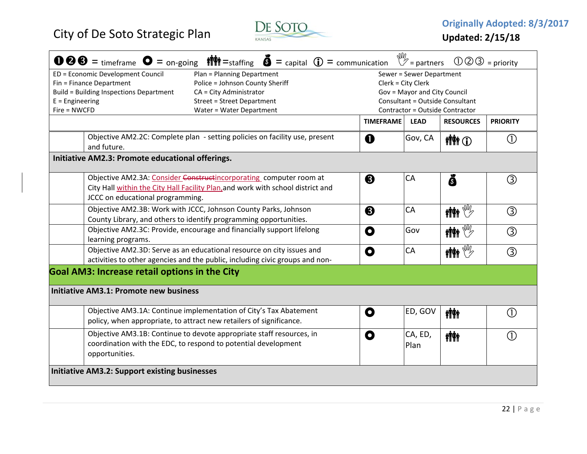

| $\mathbb{W}_{2}$ = partners<br>$\bullet \bullet \bullet =$ timeframe $\bullet =$ on-going $\bullet$ $\bullet$ = staffing $\bullet =$ capital $\bullet$ = communication<br>$\mathbb{O} \mathbb{O} \mathbb{O} =$ priority |                                                                                                                                          |                  |                              |                                        |                         |  |  |
|-------------------------------------------------------------------------------------------------------------------------------------------------------------------------------------------------------------------------|------------------------------------------------------------------------------------------------------------------------------------------|------------------|------------------------------|----------------------------------------|-------------------------|--|--|
| ED = Economic Development Council                                                                                                                                                                                       | Plan = Planning Department                                                                                                               |                  | Sewer = Sewer Department     |                                        |                         |  |  |
| Fin = Finance Department<br>Police = Johnson County Sheriff<br>Clerk = City Clerk                                                                                                                                       |                                                                                                                                          |                  |                              |                                        |                         |  |  |
| Build = Building Inspections Department                                                                                                                                                                                 | CA = City Administrator                                                                                                                  |                  | Gov = Mayor and City Council |                                        |                         |  |  |
| $E =$ Engineering                                                                                                                                                                                                       | <b>Street = Street Department</b>                                                                                                        |                  |                              | <b>Consultant = Outside Consultant</b> |                         |  |  |
| Fire = NWCFD<br>Water = Water Department<br>Contractor = Outside Contractor                                                                                                                                             |                                                                                                                                          |                  |                              |                                        |                         |  |  |
|                                                                                                                                                                                                                         |                                                                                                                                          | <b>TIMEFRAME</b> | <b>LEAD</b>                  | <b>RESOURCES</b>                       | <b>PRIORITY</b>         |  |  |
| and future.                                                                                                                                                                                                             | Objective AM2.2C: Complete plan - setting policies on facility use, present                                                              | $\mathbf 0$      | Gov, CA                      | <b>MM</b> O                            | $\circ$                 |  |  |
|                                                                                                                                                                                                                         |                                                                                                                                          |                  |                              |                                        |                         |  |  |
| Initiative AM2.3: Promote educational offerings.                                                                                                                                                                        |                                                                                                                                          |                  |                              |                                        |                         |  |  |
|                                                                                                                                                                                                                         | Objective AM2.3A: Consider Constructincorporating computer room at                                                                       | ❸                | CA                           | ŏ                                      | $\circled{3}$           |  |  |
|                                                                                                                                                                                                                         | City Hall within the City Hall Facility Plan, and work with school district and                                                          |                  |                              |                                        |                         |  |  |
| JCCC on educational programming.                                                                                                                                                                                        |                                                                                                                                          |                  |                              |                                        |                         |  |  |
|                                                                                                                                                                                                                         | Objective AM2.3B: Work with JCCC, Johnson County Parks, Johnson                                                                          | ❸                | CA                           | $\mathbf{M}$ $\mathbf{M}$              | $\circledS$             |  |  |
|                                                                                                                                                                                                                         | County Library, and others to identify programming opportunities.                                                                        |                  |                              |                                        |                         |  |  |
|                                                                                                                                                                                                                         | Objective AM2.3C: Provide, encourage and financially support lifelong                                                                    | O                | Gov                          | $\mathbf{M}$ where $\mathbb{W}$        | $\circled{3}$           |  |  |
| learning programs.                                                                                                                                                                                                      |                                                                                                                                          |                  |                              |                                        |                         |  |  |
|                                                                                                                                                                                                                         | Objective AM2.3D: Serve as an educational resource on city issues and                                                                    | O                | CA                           | $\mathbf{M}^{\text{max}}$              | $\circled{3}$           |  |  |
|                                                                                                                                                                                                                         | activities to other agencies and the public, including civic groups and non-                                                             |                  |                              |                                        |                         |  |  |
| <b>Goal AM3: Increase retail options in the City</b>                                                                                                                                                                    |                                                                                                                                          |                  |                              |                                        |                         |  |  |
| <b>Initiative AM3.1: Promote new business</b>                                                                                                                                                                           |                                                                                                                                          |                  |                              |                                        |                         |  |  |
|                                                                                                                                                                                                                         | Objective AM3.1A: Continue implementation of City's Tax Abatement<br>policy, when appropriate, to attract new retailers of significance. | O                | ED, GOV                      | <b>ilitik</b>                          | (1)                     |  |  |
|                                                                                                                                                                                                                         | Objective AM3.1B: Continue to devote appropriate staff resources, in                                                                     |                  |                              |                                        |                         |  |  |
|                                                                                                                                                                                                                         | coordination with the EDC, to respond to potential development                                                                           | O                | CA, ED,                      | <b>iÑi</b>                             | $\left( \Gamma \right)$ |  |  |
| opportunities.                                                                                                                                                                                                          |                                                                                                                                          |                  | Plan                         |                                        |                         |  |  |
|                                                                                                                                                                                                                         |                                                                                                                                          |                  |                              |                                        |                         |  |  |
| <b>Initiative AM3.2: Support existing businesses</b>                                                                                                                                                                    |                                                                                                                                          |                  |                              |                                        |                         |  |  |
|                                                                                                                                                                                                                         |                                                                                                                                          |                  |                              |                                        |                         |  |  |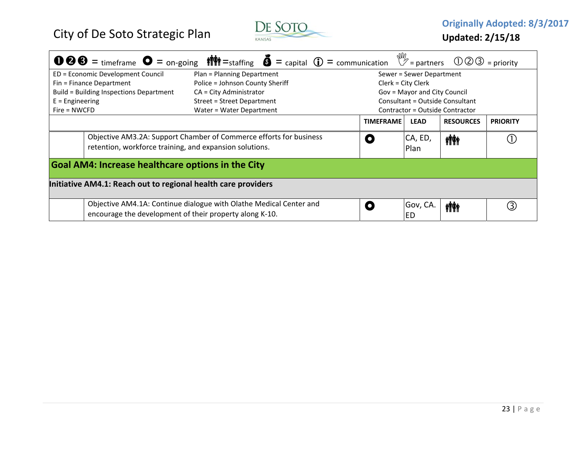

|                                                                                                                               |                                                               | <b>● 8</b> = timeframe ● = on-going $\mathbf{\hat{M}}$ = staffing ● = capital ⊕ = communication $\mathbb{V}$ = partners ① ② 3 = priority |                  |                                 |                  |                 |  |  |
|-------------------------------------------------------------------------------------------------------------------------------|---------------------------------------------------------------|------------------------------------------------------------------------------------------------------------------------------------------|------------------|---------------------------------|------------------|-----------------|--|--|
|                                                                                                                               | ED = Economic Development Council                             | Plan = Planning Department                                                                                                               |                  | Sewer = Sewer Department        |                  |                 |  |  |
| Fin = Finance Department<br>Police = Johnson County Sheriff<br>Clerk = City Clerk                                             |                                                               |                                                                                                                                          |                  |                                 |                  |                 |  |  |
|                                                                                                                               | Build = Building Inspections Department                       | $CA = City$ Administrator                                                                                                                |                  | Gov = Mayor and City Council    |                  |                 |  |  |
| $E =$ Engineering                                                                                                             |                                                               | Street = Street Department                                                                                                               |                  | Consultant = Outside Consultant |                  |                 |  |  |
| $Fire = NWCFD$                                                                                                                |                                                               | Water = Water Department                                                                                                                 |                  | Contractor = Outside Contractor |                  |                 |  |  |
|                                                                                                                               |                                                               |                                                                                                                                          | <b>TIMEFRAME</b> | <b>LEAD</b>                     | <b>RESOURCES</b> | <b>PRIORITY</b> |  |  |
| Objective AM3.2A: Support Chamber of Commerce efforts for business<br>retention, workforce training, and expansion solutions. |                                                               |                                                                                                                                          |                  | CA, ED,<br>Plan                 | <b>inh</b>       |                 |  |  |
|                                                                                                                               | <b>Goal AM4: Increase healthcare options in the City</b>      |                                                                                                                                          |                  |                                 |                  |                 |  |  |
|                                                                                                                               | Initiative AM4.1: Reach out to regional health care providers |                                                                                                                                          |                  |                                 |                  |                 |  |  |
|                                                                                                                               | encourage the development of their property along K-10.       | Objective AM4.1A: Continue dialogue with Olathe Medical Center and                                                                       |                  | Gov, CA.<br>ED                  | <b>iÑi</b>       | (3)             |  |  |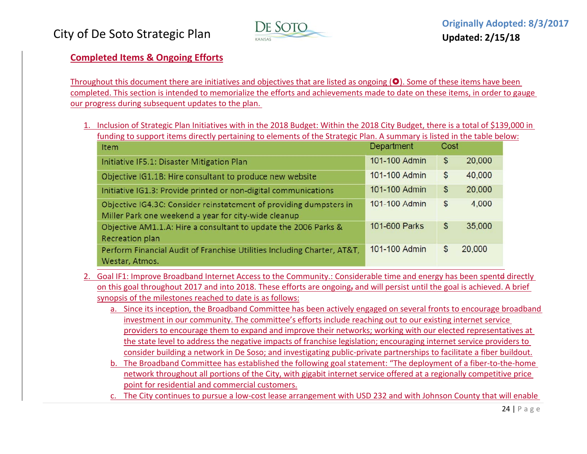

### **Completed Items & Ongoing Efforts**

Throughout this document there are initiatives and objectives that are listed as ongoing  $(\bullet)$ . Some of these items have been completed. This section is intended to memorialize the efforts and achievements made to date on these items, in order to gauge our progress during subsequent updates to the plan.

1. Inclusion of Strategic Plan Initiatives with in the 2018 Budget: Within the 2018 City Budget, there is <sup>a</sup> total of \$139,000 in funding to support items directly pertaining to elements of the Strategic Plan. A summary is listed in the table below:

| Item                                                                                                                       | Department    | Cost           |        |
|----------------------------------------------------------------------------------------------------------------------------|---------------|----------------|--------|
| Initiative IF5.1: Disaster Mitigation Plan                                                                                 | 101-100 Admin | $\mathfrak{s}$ | 20,000 |
| Objective IG1.1B: Hire consultant to produce new website                                                                   | 101-100 Admin | $\frac{1}{2}$  | 40,000 |
| Initiative IG1.3: Provide printed or non-digital communications                                                            | 101-100 Admin | $\mathcal{S}$  | 20,000 |
| Objective IG4.3C: Consider reinstatement of providing dumpsters in<br>Miller Park one weekend a year for city-wide cleanup | 101-100 Admin | $\mathcal{S}$  | 4,000  |
| Objective AM1.1.A: Hire a consultant to update the 2006 Parks &<br>Recreation plan                                         | 101-600 Parks | \$             | 35,000 |
| Perform Financial Audit of Franchise Utilities Including Charter, AT&T,<br>Westar, Atmos.                                  | 101-100 Admin | \$             | 20,000 |

- 2. Goal IF1: Improve Broadband Internet Access to the Community.: Considerable time and energy has been spentd directly on this goal throughout 2017 and into 2018. These efforts are ongoing, and will persist until the goal is achieved. A brief synopsis of the milestones reached to date is as follows:
	- a. Since its inception, the Broadband Committee has been actively engaged on several fronts to encourage broadband investment in our community. The committee's efforts include reaching out to our existing internet service providers to encourage them to expand and improve their networks; working with our elected representatives at the state level to address the negative impacts of franchise legislation; encouraging internet service providers to consider building <sup>a</sup> network in De Soso; and investigating public‐private partnerships to facilitate <sup>a</sup> fiber buildout.
	- b. The Broadband Committee has established the following goal statement: "The deployment of <sup>a</sup> fiber‐to‐the‐home network throughout all portions of the City, with gigabit internet service offered at <sup>a</sup> regionally competitive price point for residential and commercial customers.
	- c. The City continues to pursue <sup>a</sup> low‐cost lease arrangement with USD 232 and with Johnson County that will enable